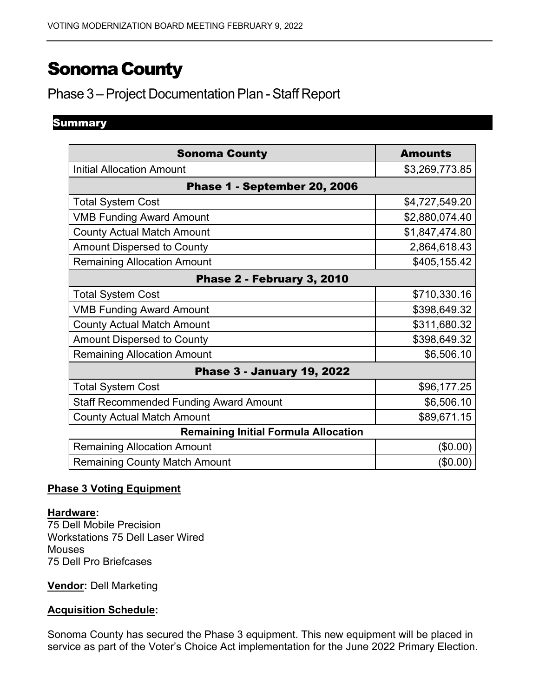# SonomaCounty

# Phase 3 – Project Documentation Plan - Staff Report

# Summary

| <b>Sonoma County</b>                          | <b>Amounts</b> |
|-----------------------------------------------|----------------|
| <b>Initial Allocation Amount</b>              | \$3,269,773.85 |
| Phase 1 - September 20, 2006                  |                |
| <b>Total System Cost</b>                      | \$4,727,549.20 |
| <b>VMB Funding Award Amount</b>               | \$2,880,074.40 |
| <b>County Actual Match Amount</b>             | \$1,847,474.80 |
| <b>Amount Dispersed to County</b>             | 2,864,618.43   |
| <b>Remaining Allocation Amount</b>            | \$405,155.42   |
| Phase 2 - February 3, 2010                    |                |
| <b>Total System Cost</b>                      | \$710,330.16   |
| <b>VMB Funding Award Amount</b>               | \$398,649.32   |
| <b>County Actual Match Amount</b>             | \$311,680.32   |
| <b>Amount Dispersed to County</b>             | \$398,649.32   |
| <b>Remaining Allocation Amount</b>            | \$6,506.10     |
| <b>Phase 3 - January 19, 2022</b>             |                |
| <b>Total System Cost</b>                      | \$96,177.25    |
| <b>Staff Recommended Funding Award Amount</b> | \$6,506.10     |
| <b>County Actual Match Amount</b>             | \$89,671.15    |
| <b>Remaining Initial Formula Allocation</b>   |                |
| <b>Remaining Allocation Amount</b>            | (\$0.00)       |
| <b>Remaining County Match Amount</b>          | $(\$0.00)$     |

### **Phase 3 Voting Equipment**

#### **Hardware:**

75 Dell Mobile Precision Workstations 75 Dell Laser Wired Mouses 75 Dell Pro Briefcases

**Vendor:** Dell Marketing

# **Acquisition Schedule:**

Sonoma County has secured the Phase 3 equipment. This new equipment will be placed in service as part of the Voter's Choice Act implementation for the June 2022 Primary Election.